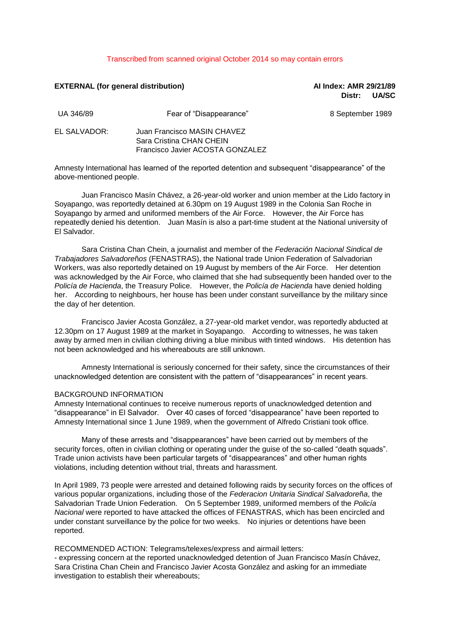### Transcribed from scanned original October 2014 so may contain errors

# **EXTERNAL (for general distribution) AI Index: AMR 29/21/89**

**Distr: UA/SC**

| UA 346/89    | Fear of "Disappearance"                                                                     | 8 September 1989 |
|--------------|---------------------------------------------------------------------------------------------|------------------|
| EL SALVADOR: | Juan Francisco MASIN CHAVEZ<br>Sara Cristina CHAN CHEIN<br>Francisco Javier ACOSTA GONZALEZ |                  |

Amnesty International has learned of the reported detention and subsequent "disappearance" of the above-mentioned people.

Juan Francisco Masín Chávez, a 26-year-old worker and union member at the Lido factory in Soyapango, was reportedly detained at 6.30pm on 19 August 1989 in the Colonia San Roche in Soyapango by armed and uniformed members of the Air Force. However, the Air Force has repeatedly denied his detention. Juan Masín is also a part-time student at the National university of El Salvador.

Sara Cristina Chan Chein, a journalist and member of the *Federación Nacional Sindical de Trabajadores Salvadore*ñ*os* (FENASTRAS), the National trade Union Federation of Salvadorian Workers, was also reportedly detained on 19 August by members of the Air Force. Her detention was acknowledged by the Air Force, who claimed that she had subsequently been handed over to the *Policía de Hacienda*, the Treasury Police. However, the *Policía de Hacienda* have denied holding her. According to neighbours, her house has been under constant surveillance by the military since the day of her detention.

Francisco Javier Acosta González, a 27-year-old market vendor, was reportedly abducted at 12.30pm on 17 August 1989 at the market in Soyapango. According to witnesses, he was taken away by armed men in civilian clothing driving a blue minibus with tinted windows. His detention has not been acknowledged and his whereabouts are still unknown.

Amnesty International is seriously concerned for their safety, since the circumstances of their unacknowledged detention are consistent with the pattern of "disappearances" in recent years.

#### BACKGROUND INFORMATION

Amnesty International continues to receive numerous reports of unacknowledged detention and "disappearance" in El Salvador. Over 40 cases of forced "disappearance" have been reported to Amnesty International since 1 June 1989, when the government of Alfredo Cristiani took office.

Many of these arrests and "disappearances" have been carried out by members of the security forces, often in civilian clothing or operating under the guise of the so-called "death squads". Trade union activists have been particular targets of "disappearances" and other human rights violations, including detention without trial, threats and harassment.

In April 1989, 73 people were arrested and detained following raids by security forces on the offices of various popular organizations, including those of the *Federacion Unitaria Sindical Salvadore*ñ*a*, the Salvadorian Trade Union Federation. On 5 September 1989, uniformed members of the *Policía Nacional* were reported to have attacked the offices of FENASTRAS, which has been encircled and under constant surveillance by the police for two weeks. No injuries or detentions have been reported.

#### RECOMMENDED ACTION: Telegrams/telexes/express and airmail letters:

- expressing concern at the reported unacknowledged detention of Juan Francisco Masín Chávez, Sara Cristina Chan Chein and Francisco Javier Acosta González and asking for an immediate investigation to establish their whereabouts;